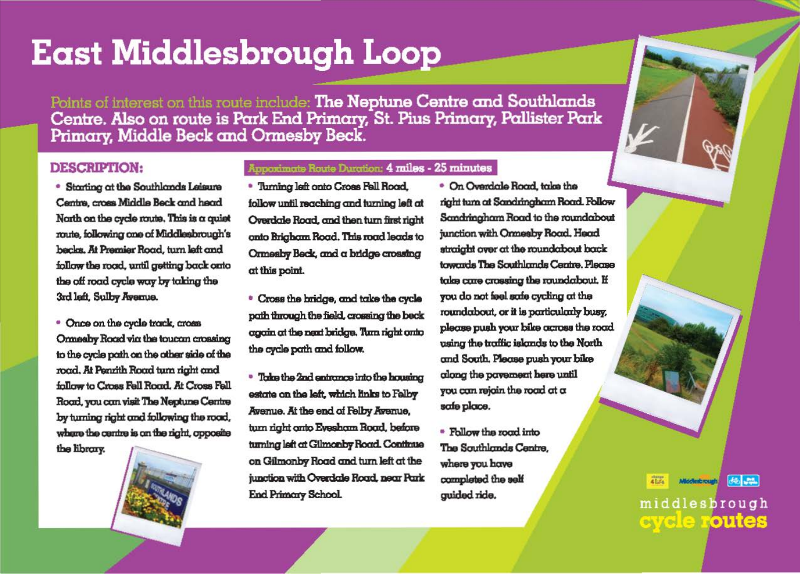## **East Middlesbrough Loop**

Points of interest on this route include: The Neptune Centre and Southlands Centre. Also on route is Park End Primary, St. Pius Primary, Pallister Park Primary, Middle Beck and Ormesby Beck.

## **DESCRIPTION:**

- · Starting at the Southlands Leisure Centre, cross Middle Beck and head North on the cycle route. This is a quiet route, following one of Middlesbrough's backs. At Premier Road, turn left and follow the road, until getting back onto the off road cycle way by taking the 3rd left, Sulby Avenue.
- · Once on the cycle track, cross Ormesby Road via the toucan crossing to the cycle path on the other side of the road. At Penrith Road turn right and follow to Cross Fall Rood, At Cross Fall Rood, you can visit The Neptune Centre by turning right and following the road, where the centre is on the right, opposite

the library.

## Apportmate Route Duration: 4 miles - 25 minutes

• Turning left onto Cross Fall Road follow until reaching and turning left at Overdale Road, and then turn first right onto Brigham Road. This road leads to Ormesby Beck, and a bridge crossing at this point.

• Cross the bridge, and take the cycle path through the field, crossing the beck again at the next bridge. Turn right onto the cycle path and follow.

• Toke the 2nd entronce into the housing estate on the left, which links to Felby Avenue. At the end of Felby Avenue, turn right onto Eveshom Road, before turning latt at Gilmonby Road. Continue on Gilmonby Road and turn left at the junction with Overdale Road, near Park **End Primary School.** 

- On Overdale Road, take the right turn at Sandringham Road. Follow Sandringham Road to the roundabout junction with Ormesby Road. Head straight over at the roundabout back towards The Southlands Centre, Please take care crossing the roundabout. If you do not feel safe cycling at the roundabout, or it is particularly busy. please push your bike across the road using the traffic islands to the North and South. Please push your bike along the payement here until you can rejoin the road at a safe place.
- Follow the road into The Southlands Centre. where you have completed the self quided ride.

西西

 $41.54$ 

**Middlesbrough** 

middlesbrough **Cycle routes**